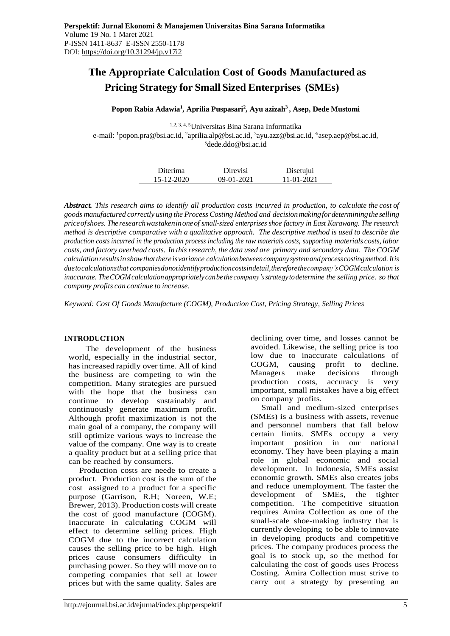# **The Appropriate Calculation Cost of Goods Manufactured as Pricing Strategy for Small Sized Enterprises (SMEs)**

# **Popon Rabia Adawia<sup>1</sup> , Aprilia Puspasari<sup>2</sup> , Ayu azizah<sup>3</sup>, Asep, Dede Mustomi**

1,2, 3, 4, 5Universitas Bina Sarana Informatika e-mail: <sup>1</sup>popon.pra@bsi.ac.id, <sup>2</sup>[aprilia.alp@bsi.ac.id,](mailto:2aprilia.alp@bsi.ac.id) <sup>3</sup>[ayu.azz@bsi.ac.id,](mailto:3ayu.azz@bsi.ac.id) <sup>4</sup>[asep.aep@bsi.ac.id,](mailto:asep.aep@bsi.ac.id) <sup>5</sup>dede.ddo@bsi.ac.id

| Diterima   | Direvisi     | Disetujui  |
|------------|--------------|------------|
| 15-12-2020 | $09-01-2021$ | 11-01-2021 |

*Abstract. This research aims to identify all production costs incurred in production, to calculate the cost of goods manufactured correctly using the ProcessCosting Method and decisionmakingfordeterminingthe selling priceofshoes. Theresearchwastakeninoneof small-sized enterprises shoe factory in East Karawang. The research method is descriptive comparative with a qualitative approach. The descriptive method is used to describe the*  production costs incurred in the production process including the raw materials costs, supporting materials costs, labor *costs, and factory overhead costs. In this research, the data used are primary and secondary data. The COGM calculation resultsinshowthatthereisvariance calculationbetweencompany systemandprocesscostingmethod.Itis duetocalculationsthat companiesdonotidentifyproductioncostsindetail,thereforethecompany'sCOGMcalculation is inaccurate. TheCOGMcalculationappropriately canbe the company'sstrategy todetermine the selling price. so that company profits can continue to increase.*

*Keyword: Cost Of Goods Manufacture (COGM), Production Cost, Pricing Strategy, Selling Prices*

# **INTRODUCTION**

The development of the business world, especially in the industrial sector, hasincreased rapidly over time. All of kind the business are competing to win the competition. Many strategies are pursued with the hope that the business can continue to develop sustainably and continuously generate maximum profit. Although profit maximization is not the main goal of a company, the company will still optimize various ways to increase the value of the company. One way is to create a quality product but at a selling price that can be reached by consumers.

Production costs are neede to create a product. Production cost is the sum of the cost assigned to a product for a specific purpose (Garrison, R.H; Noreen, W.E; Brewer, 2013). Production costs will create the cost of good manufacture (COGM). Inaccurate in calculating COGM will effect to determine selling prices. High COGM due to the incorrect calculation causes the selling price to be high. High prices cause consumers difficulty in purchasing power. So they will move on to competing companies that sell at lower prices but with the same quality. Sales are

declining over time, and losses cannot be avoided. Likewise, the selling price is too low due to inaccurate calculations of COGM, causing profit to decline. Managers make decisions through production costs, accuracy is very important, small mistakes have a big effect on company profits.

Small and medium-sized enterprises (SMEs) is a business with assets, revenue and personnel numbers that fall below certain limits. SMEs occupy a very important position in our national economy. They have been playing a main role in global economic and social development. In Indonesia, SMEs assist economic growth. SMEs also creates jobs and reduce unemployment. The faster the development of SMEs, the tighter competition. The competitive situation requires Amira Collection as one of the small-scale shoe-making industry that is currently developing to be able to innovate in developing products and competitive prices. The company produces process the goal is to stock up, so the method for calculating the cost of goods uses Process Costing. Amira Collection must strive to carry out a strategy by presenting an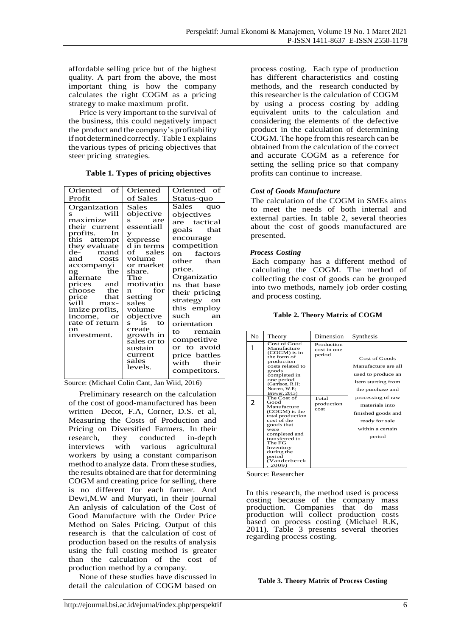affordable selling price but of the highest quality. A part from the above, the most important thing is how the company calculates the right COGM as a pricing strategy to make maximum profit.

Price is very important to the survival of the business, this could negatively impact the product and the company's profitability if not determinedcorrectly. Table 1explains the various types of pricing objectives that steer pricing strategies.

**Table 1. Types of pricing objectives**

| Oriented of                                                                                                                                                                                                                                                                                                                     | Oriented                                                                                                                                                                                                                                                                                                            | Oriented of                                                                                                                                                                                                                                                                                                                  |
|---------------------------------------------------------------------------------------------------------------------------------------------------------------------------------------------------------------------------------------------------------------------------------------------------------------------------------|---------------------------------------------------------------------------------------------------------------------------------------------------------------------------------------------------------------------------------------------------------------------------------------------------------------------|------------------------------------------------------------------------------------------------------------------------------------------------------------------------------------------------------------------------------------------------------------------------------------------------------------------------------|
| Profit                                                                                                                                                                                                                                                                                                                          | of Sales                                                                                                                                                                                                                                                                                                            | Status-quo                                                                                                                                                                                                                                                                                                                   |
| Organization<br>will<br>s<br>maximize<br>their current<br>profits.<br>In<br>this attempt<br>they evaluate<br>de- mand<br>and costs<br>accompanyi<br>ng the<br>alternate<br>prices and<br>choose the<br>price that<br>will -<br>max-<br>imize profits,<br>income,<br><b>or</b><br>rate of return<br><sub>on</sub><br>investment. | Sales<br>objective<br>are<br>S.<br>essentiall<br>У<br>expresse<br>d in terms<br>of sales<br>volume<br>or market<br>share.<br>The<br>motivatio<br>for<br>n.<br>setting<br>sales<br>volume<br>objective<br>$\mathbf{t}$<br>- is<br>S.<br>create<br>growth in<br>sales or to<br>sustain<br>current<br>sales<br>levels. | Sales quo<br>objectives<br>are tactical<br>goals that<br>encourage<br>competition<br>on factors<br>other than<br>price.<br>Organizatio<br>ns that base<br>their pricing<br>strategy on<br>this employ<br>such<br>an<br>orientation<br>to remain<br>competitive<br>or to avoid<br>price battles<br>with their<br>competitors. |

Source: (Michael Colin Cant, Jan Wiid, 2016)

Preliminary research on the calculation of the cost of good-manufactured has been written Decot, F.A, Corner, D.S. et al, Measuring the Costs of Production and Pricing on Diversified Farmers. In their research, they conducted in-depth interviews with various agricultural workers by using a constant comparison method to analyze data. From these studies, the results obtained are that for determining COGM and creating price for selling, there is no different for each farmer. And Dewi,M.W and Muryati, in their journal An anlysis of calculation of the Cost of Good Manufacture with the Order Price Method on Sales Pricing. Output of this research is that the calculation of cost of production based on the results of analysis using the full costing method is greater than the calculation of the cost of production method by a company.

None of these studies have discussed in detail the calculation of COGM based on process costing. Each type of production has different characteristics and costing methods, and the research conducted by this researcher is the calculation of COGM by using a process costing by adding equivalent units to the calculation and considering the elements of the defective product in the calculation of determining COGM. The hope from this research can be obtained from the calculation of the correct and accurate COGM as a reference for setting the selling price so that company profits can continue to increase.

# *Cost of Goods Manufacture*

The calculation of the COGM in SMEs aims to meet the needs of both internal and external parties. In table 2, several theories about the cost of goods manufactured are presented.

# *Process Costing*

Each company has a different method of calculating the COGM. The method of collecting the cost of goods can be grouped into two methods, namely job order costing and process costing.

**Table 2. Theory Matrix of COGM** 

| No | Theory                                                                                                                                                                                                                    | Dimension                           | Synthesis                                                                                                 |
|----|---------------------------------------------------------------------------------------------------------------------------------------------------------------------------------------------------------------------------|-------------------------------------|-----------------------------------------------------------------------------------------------------------|
| 1  | Cost of Good<br>Manufacture<br>(COGM) is in<br>the form of<br>production<br>costs related to<br>goods<br>completed in<br>one period<br>(Garrison, R.H;<br>Noreen, W.E;<br>Brewer, 2013)                                   | Production<br>cost in one<br>period | Cost of Goods<br>Manufacture are all<br>used to produce an<br>item starting from<br>the purchase and      |
| 2  | The Cost of<br>Good<br>Manufacture<br>(COGM) is the<br>total production<br>cost of the<br>goods that<br>were<br>completed and<br>transferred to<br>The FG<br>Inventory<br>during the<br>period<br>tV anderberck)<br>2009) | Total<br>production<br>cost         | processing of raw<br>materials into<br>finished goods and<br>ready for sale<br>within a certain<br>period |

Source: Researcher

In this research, the method used is process costing because of the company mass production. Companies that do mass production will collect production costs based on process costing (Michael R.K, 2011). Table 3 presents several theories regarding process costing.

## **Table 3. Theory Matrix of Process Costing**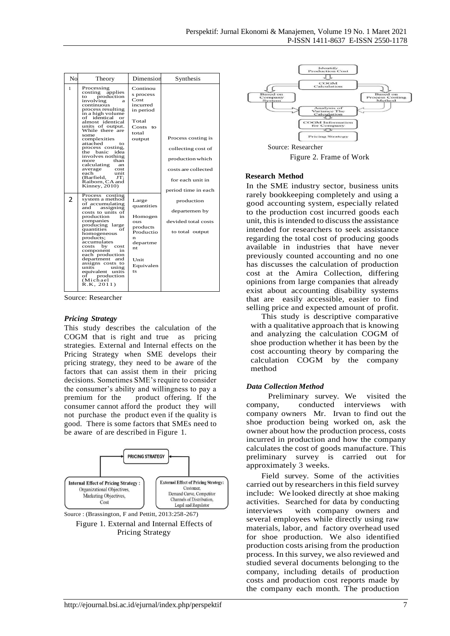| No            | Theory                                                                                                                                                                                                                                                                                                                                                                                                                                              | Dimension                                                                                                               | Synthesis                                                                                                                      |
|---------------|-----------------------------------------------------------------------------------------------------------------------------------------------------------------------------------------------------------------------------------------------------------------------------------------------------------------------------------------------------------------------------------------------------------------------------------------------------|-------------------------------------------------------------------------------------------------------------------------|--------------------------------------------------------------------------------------------------------------------------------|
| 1             | Processing<br>applies<br>costing<br>production<br>tΩ<br>involving<br>а<br>continuous<br>process resulting<br>in a high volume<br>of identical or<br>almost identical<br>units of output.<br>While there are<br>some<br>complexities<br>attached<br>tΩ<br>process costing.<br>the basic<br>idea<br>involves nothing<br>than<br>more<br>calculating<br>an<br>average<br>cost<br>each<br>unit<br>(Barfield,<br>JT:<br>Raiborn, CA and<br>Kinney, 2010) | Continou<br>s process<br>Cost<br>incurred<br>in period<br>Total<br>Costs<br>$t_{\Omega}$<br>total<br>output             | Process costing is<br>collecting cost of<br>production which<br>costs are collected<br>for each unit in<br>period time in each |
| $\mathcal{P}$ | Process<br>costing<br>system a method<br>of accumulating<br>and<br>assigning<br>costs to units of<br>production<br>in<br>companies<br>producing large<br>quantities<br>of<br>homogeneous<br>products;<br>accumulates<br>costs<br>by<br>cost<br>component<br>in<br>each production<br>department<br>and<br>assigns costs to<br>units<br>using<br>equivalent units<br>production<br>oť<br>(Michael<br>R.K, 2011)                                      | Large<br>quantities<br>Homogen<br><b>OUS</b><br>products<br>Productio<br>n<br>departme<br>nt<br>Unit<br>Equivalen<br>ts | production<br>departemen by<br>devided total costs<br>to total output                                                          |

Source: Researcher

## *Pricing Strategy*

This study describes the calculation of the COGM that is right and true as pricing strategies. External and Internal effects on the Pricing Strategy when SME develops their pricing strategy, they need to be aware of the factors that can assist them in their pricing decisions. Sometimes SME's require to consider the consumer's ability and willingness to pay a premium for the product offering. If the consumer cannot afford the product they will not purchase the product even if the quality is good. There is some factors that SMEs need to be aware of are described in Figure 1.



Figure 1. External and Internal Effects of Pricing Strategy



Figure 2. Frame of Work

#### **Research Method**

In the SME industry sector, business units rarely bookkeeping completely and using a good accounting system, especially related to the production cost incurred goods each unit, this is intended to discuss the assistance intended for researchers to seek assistance regarding the total cost of producing goods available in industries that have never previously counted accounting and no one has discusses the calculation of production cost at the Amira Collection, differing opinions from large companies that already exist about accounting disability systems that are easily accessible, easier to find selling price and expected amount of profit.

This study is descriptive comparative with a qualitative approach that is knowing and analyzing the calculation COGM of shoe production whether it has been by the cost accounting theory by comparing the calculation COGM by the company method

# *Data Collection Method*

Preliminary survey. We visited the company, conducted interviews with company owners Mr. Irvan to find out the shoe production being worked on, ask the owner about how the production process, costs incurred in production and how the company calculates the cost of goods manufacture. This preliminary survey is carried out for approximately 3 weeks.

Field survey. Some of the activities carried out by researchers in this field survey include: We looked directly at shoe making activities. Searched for data by conducting interviews with company owners and several employees while directly using raw materials, labor, and factory overhead used for shoe production. We also identified production costs arising from the production process. In this survey, we also reviewed and studied several documents belonging to the company, including details of production costs and production cost reports made by the company each month. The production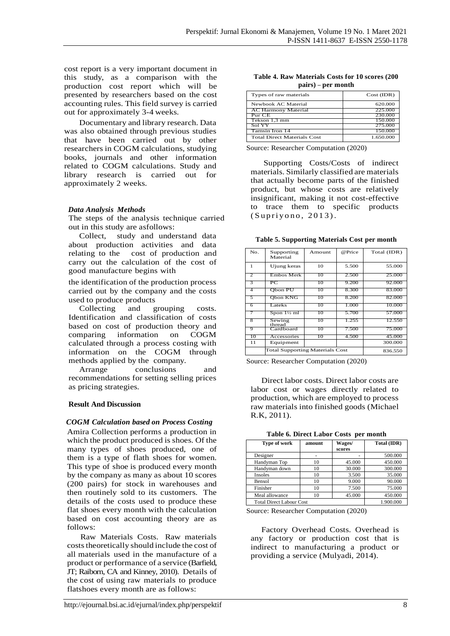cost report is a very important document in this study, as a comparison with the production cost report which will be presented by researchers based on the cost accounting rules. This field survey is carried out for approximately 3-4 weeks.

Documentary and library research. Data was also obtained through previous studies that have been carried out by other researchers in COGM calculations, studying books, journals and other information related to COGM calculations. Study and library research is carried out for approximately 2 weeks.

## *Data Analysis Methods*

The steps of the analysis technique carried out in this study are asfollows:

Collect, study and understand data about production activities and data relating to the cost of production and carry out the calculation of the cost of good manufacture begins with

the identification of the production process carried out by the company and the costs used to produce products

Collecting and grouping costs. Identification and classification of costs based on cost of production theory and comparing information on COGM calculated through a process costing with information on the COGM through methods applied by the company.

Arrange conclusions and recommendations for setting selling prices as pricing strategies.

# **Result And Discussion**

## *COGM Calculation based on Process Costing*

Amira Collection performs a production in which the product produced is shoes. Of the many types of shoes produced, one of them is a type of flath shoes for women. This type of shoe is produced every month by the company as many as about 10 scores (200 pairs) for stock in warehouses and then routinely sold to its customers. The details of the costs used to produce these flat shoes every month with the calculation based on cost accounting theory are as follows:

Raw Materials Costs. Raw materials costs theoretically should include the cost of all materials used in the manufacture of a product or performance of a service (Barfield, JT; Raiborn, CA and Kinney, 2010). Details of the cost of using raw materials to produce flatshoes every month are as follows:

|  | Table 4. Raw Materials Costs for 10 scores (200) |  |  |  |
|--|--------------------------------------------------|--|--|--|
|  | pairs) – per month                               |  |  |  |

| Types of raw materials             | Cost (IDR) |
|------------------------------------|------------|
| Newbook AC Material                | 620.000    |
| <b>AC Harmony Material</b>         | 225,000    |
| Pur CE                             | 230,000    |
| Tekson 1,3 mm                      | 150.000    |
| Sol YY                             | 275,000    |
| Tamsin Iron 14                     | 150,000    |
| <b>Total Direct Materials Cost</b> | 1.650.000  |

Source: Researcher Computation (2020)

Supporting Costs/Costs of indirect materials. Similarly classified are materials that actually become parts of the finished product, but whose costs are relatively insignificant, making it not cost-effective to trace them to specific products  $(S$ u pri yono,  $2013$ ).

**Table 5. Supporting Materials Cost per month**

| No.            | Supporting<br>Material                 | Amount  | @Price | Total (IDR) |
|----------------|----------------------------------------|---------|--------|-------------|
| $\mathbf{1}$   | Ujung keras                            | 10      | 5.500  | 55,000      |
| $\overline{2}$ | Embos Merk                             | 10      | 2.500  | 25,000      |
| 3              | PС                                     | 10      | 9.200  | 92,000      |
| 4              | Obon PU                                | 10      | 8.300  | 83.000      |
| 5              | Obon KNG                               | 10      | 8.200  | 82.000      |
| 6              | Lateks                                 | 10      | 1.000  | 10.000      |
|                | Spon 1½ ml                             | 10      | 5.700  | 57,000      |
| 8              | Sewing<br>thread                       | 10      | 1.255  | 12.550      |
| 9              | Cardboard                              | 10      | 7.500  | 75.000      |
| 10             | Accessories                            | 10      | 4.500  | 45.000      |
| 11             | Equipment                              |         |        | 300,000     |
|                | <b>Total Supporting Materials Cost</b> | 836.550 |        |             |

Source: Researcher Computation (2020)

Direct labor costs. Direct labor costs are labor cost or wages directly related to production, which are employed to process raw materials into finished goods (Michael R.K, 2011).

**Table 6. Direct Labor Costs per month**

| Tubic of Bircel Bubor Cobis per month |        |        |             |
|---------------------------------------|--------|--------|-------------|
| Type of work                          | amount | Wages/ | Total (IDR) |
|                                       |        | scores |             |
| Designer                              |        |        | 500,000     |
| Handyman Top                          | 10     | 45,000 | 450.000     |
| Handyman down                         | 10     | 30.000 | 300,000     |
| Insoles                               | 10     | 3.500  | 35.000      |
| Bensol                                | 10     | 9.000  | 90.000      |
| Finisher                              | 10     | 7.500  | 75.000      |
| Meal allowance                        | 10     | 45.000 | 450.000     |
| <b>Total Direct Labour Cost</b>       |        |        | 1.900.000   |

Source: Researcher Computation (2020)

Factory Overhead Costs. Overhead is any factory or production cost that is indirect to manufacturing a product or providing a service (Mulyadi, 2014).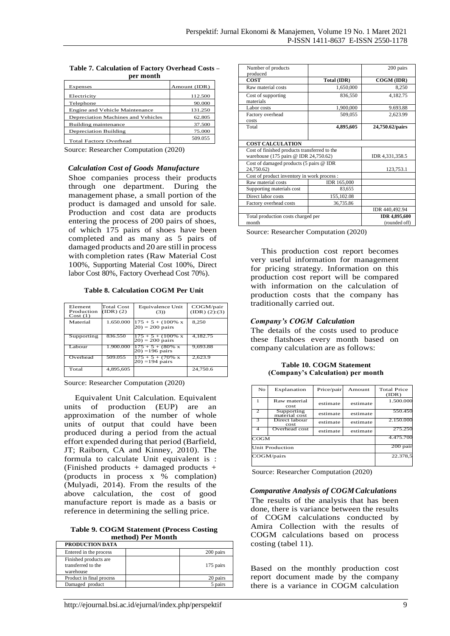| JYI IIIVIILII                         |              |  |  |
|---------------------------------------|--------------|--|--|
| Expenses                              | Amount (IDR) |  |  |
| Electricity                           | 112.500      |  |  |
| Telephone                             | 90.000       |  |  |
| <b>Engine and Vehicle Maintenance</b> | 131.250      |  |  |
| Depreciation Machines and Vehicles    | 62.805       |  |  |
| Building maintenance                  | 37.500       |  |  |
| <b>Depreciation Building</b>          | 75,000       |  |  |
| <b>Total Factory Overhead</b>         | 509.055      |  |  |

| Table 7. Calculation of Factory Overhead Costs - |           |  |
|--------------------------------------------------|-----------|--|
|                                                  | non month |  |

Source: Researcher Computation (2020)

#### *Calculation Cost of Goods Manufacture*

Shoe companies process their products through one department. During the management phase, a small portion of the product is damaged and unsold for sale. Production and cost data are products entering the process of 200 pairs of shoes, of which 175 pairs of shoes have been completed and as many as 5 pairs of damaged products and 20 are still in process with completion rates (Raw Material Cost 100%, Supporting Material Cost 100%, Direct labor Cost 80%, Factory Overhead Cost 70%).

**Table 8. Calculation COGM Per Unit**

| Element<br>Production<br>Cost(1) | Total Cost<br>(IDR) (2) | Equivalence Unit<br>(3)                             | COGM/pair<br>(IDR) (2):(3) |
|----------------------------------|-------------------------|-----------------------------------------------------|----------------------------|
| Material                         | 1.650.000               | $175 + 5 + (100\%$ x<br>$(20) = 200$ pairs          | 8.250                      |
| Supporting                       | 836.550                 | $175 + 5 + (100\% \text{ x})$<br>$(20) = 200$ pairs | 4.182.75                   |
| Labour                           | 1.900.000               | $175 + 5 + (80\% \text{ x})$<br>$(20) = 196$ pairs  | 9.693.88                   |
| Overhead                         | 509.055                 | $175 + 5 + (70\% \text{ x})$<br>$(20) = 194$ pairs  | 2,623.9                    |
| Total                            | 4,895,605               |                                                     | 24,750.6                   |

Source: Researcher Computation (2020)

Equivalent Unit Calculation. Equivalent units of production (EUP) are an approximation of the number of whole units of output that could have been produced during a period from the actual effort expended during that period (Barfield, JT; Raiborn, CA and Kinney, 2010). The formula to calculate Unit equivalent is : (Finished products + damaged products + (products in process x % complation) (Mulyadi, 2014). From the results of the above calculation, the cost of good manufacture report is made as a basis or reference in determining the selling price.

**Table 9. COGM Statement (Process Costing method) Per Month**

| PRODUCTION DATA                                          |           |
|----------------------------------------------------------|-----------|
| Entered in the process                                   | 200 pairs |
| Finished products are<br>transferred to the<br>warehouse | 175 pairs |
| Product in final process                                 | 20 pairs  |
| Damaged product                                          | pairs     |

| Number of products<br>produced                                                        |                                       | 200 pairs       |  |  |  |  |
|---------------------------------------------------------------------------------------|---------------------------------------|-----------------|--|--|--|--|
| <b>COST</b>                                                                           | Total (IDR)                           | COGM (IDR)      |  |  |  |  |
| Raw material costs                                                                    | 1,650,000                             | 8,250           |  |  |  |  |
| Cost of supporting<br>materials                                                       | 836,550                               | 4,182.75        |  |  |  |  |
| Labor costs                                                                           | 1,900,000                             | 9.693.88        |  |  |  |  |
| Factory overhead<br>costs                                                             | 509,055                               | 2,623.99        |  |  |  |  |
| Total                                                                                 | 4,895,605                             | 24,750.62/pairs |  |  |  |  |
| <b>COST CALCULATION</b>                                                               |                                       |                 |  |  |  |  |
| Cost of finished products transferred to the<br>warehouse (175 pairs @ IDR 24,750.62) | IDR 4,331,358.5                       |                 |  |  |  |  |
| Cost of damaged products (5 pairs @ IDR<br>24,750.62)                                 | 123,753.1                             |                 |  |  |  |  |
| Cost of product inventory in work process :                                           |                                       |                 |  |  |  |  |
| Raw material costs                                                                    | IDR 165,000                           |                 |  |  |  |  |
| Supporting materials cost                                                             | 83,655                                |                 |  |  |  |  |
| Direct labor costs                                                                    | 155,102.08                            |                 |  |  |  |  |
| Factory overhead costs                                                                | 36,735.86                             |                 |  |  |  |  |
|                                                                                       |                                       | IDR 440,492.94  |  |  |  |  |
| Total production costs charged per<br>month                                           | <b>IDR 4,895,600</b><br>(rounded off) |                 |  |  |  |  |

Source: Researcher Computation (2020)

This production cost report becomes very useful information for management for pricing strategy. Information on this production cost report will be compared with information on the calculation of production costs that the company has traditionally carried out.

# *Company's COGM Calculation*

The details of the costs used to produce these flatshoes every month based on company calculation are as follows:

**Table 10. COGM Statement (Company's Calculation) per month**

| No                     | Explanation                 | Price/pair | Amount   | <b>Total Price</b><br>(IDR) |
|------------------------|-----------------------------|------------|----------|-----------------------------|
|                        | Raw material<br>cost        | estimate   | estimate | 1.500.000                   |
|                        | Supporting<br>material cost | estimate   | estimate | 550.450                     |
| 3                      | Direct labour<br>cost       | estimate   | estimate | 2.150,000                   |
|                        | Overhead cost               | estimate   | estimate | 275.250                     |
| $_{\rm COGM}$          | 4.475.700                   |            |          |                             |
| <b>Unit Production</b> | 200 pair                    |            |          |                             |
| COGM/pairs             | 22.378,5                    |            |          |                             |

Source: Researcher Computation (2020)

#### *Comparative Analysis of COGMCalculations*

The results of the analysis that has been done, there is variance between the results of COGM calculations conducted by Amira Collection with the results of COGM calculations based on process costing (tabel 11).

Based on the monthly production cost report document made by the company there is a variance in COGM calculation